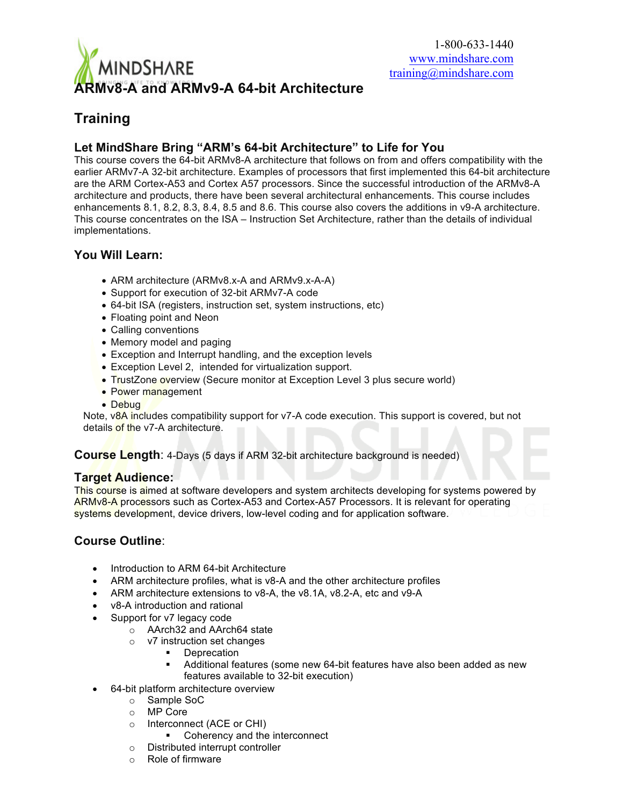

# **Training**

## **Let MindShare Bring "ARM's 64-bit Architecture" to Life for You**

This course covers the 64-bit ARMv8-A architecture that follows on from and offers compatibility with the earlier ARMv7-A 32-bit architecture. Examples of processors that first implemented this 64-bit architecture are the ARM Cortex-A53 and Cortex A57 processors. Since the successful introduction of the ARMv8-A architecture and products, there have been several architectural enhancements. This course includes enhancements 8.1, 8.2, 8.3, 8.4, 8.5 and 8.6. This course also covers the additions in v9-A architecture. This course concentrates on the ISA – Instruction Set Architecture, rather than the details of individual implementations.

### **You Will Learn:**

- ARM architecture (ARMv8.x-A and ARMv9.x-A-A)
- Support for execution of 32-bit ARMv7-A code
- 64-bit ISA (registers, instruction set, system instructions, etc)
- Floating point and Neon
- Calling conventions
- Memory model and paging
- Exception and Interrupt handling, and the exception levels
- Exception Level 2, intended for virtualization support.
- TrustZone overview (Secure monitor at Exception Level 3 plus secure world)
- Power management
- Debug

Note, v8A includes compatibility support for v7-A code execution. This support is covered, but not details of the v7-A architecture.

**Course Length**: 4-Days (5 days if ARM 32-bit architecture background is needed)

#### **Target Audience:**

This course is aimed at software developers and system architects developing for systems powered by ARMv8-A processors such as Cortex-A53 and Cortex-A57 Processors. It is relevant for operating systems development, device drivers, low-level coding and for application software.

#### **Course Outline**:

- Introduction to ARM 64-bit Architecture
- ARM architecture profiles, what is v8-A and the other architecture profiles
- ARM architecture extensions to v8-A, the v8.1A, v8.2-A, etc and v9-A
- v8-A introduction and rational
- Support for v7 legacy code
	- o AArch32 and AArch64 state
	- o v7 instruction set changes
		- Deprecation
		- § Additional features (some new 64-bit features have also been added as new features available to 32-bit execution)
- 64-bit platform architecture overview
	- o Sample SoC
	- o MP Core
	- o Interconnect (ACE or CHI)
		- Coherency and the interconnect
	- o Distributed interrupt controller
	- o Role of firmware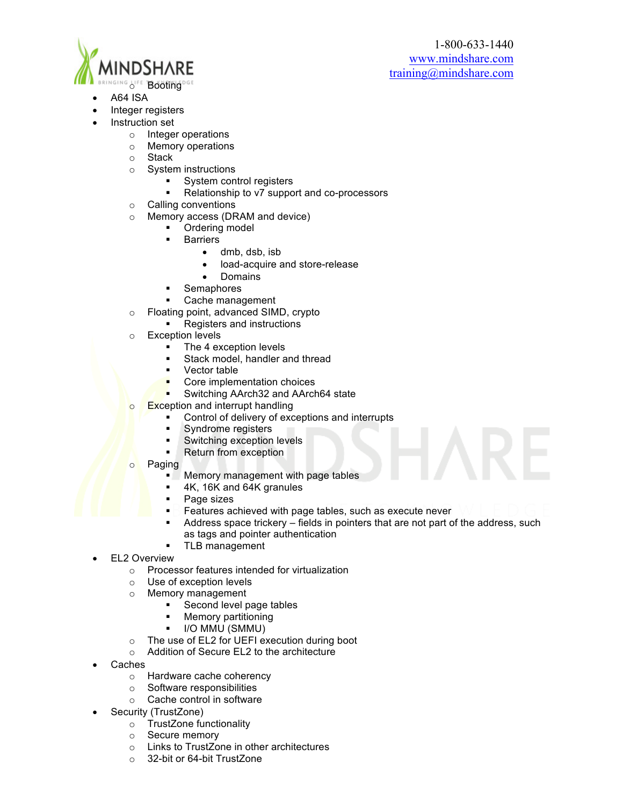

- INGING LIFE Booting DGE
- A64 ISA
- Integer registers
- Instruction set
	- o Integer operations
	- o Memory operations
	- o Stack
	- o System instructions
		- System control registers
			- § Relationship to v7 support and co-processors
	- o Calling conventions
	- o Memory access (DRAM and device)
		- Ordering model
			- **Barriers** 
				- dmb, dsb, isb
					- load-acquire and store-release
				- Domains
			- § Semaphores
			- Cache management
	- o Floating point, advanced SIMD, crypto
		- Registers and instructions
	- o Exception levels
		- The 4 exception levels
		- **•** Stack model, handler and thread
		- Vector table
		- § Core implementation choices
		- **Switching AArch32 and AArch64 state**
	- $\circ$  Exception and interrupt handling
		- Control of delivery of exceptions and interrupts
		- § Syndrome registers
		- § Switching exception levels
		- Return from exception
	- o Paging
		- § Memory management with page tables
		- § 4K, 16K and 64K granules
		- Page sizes
		- Features achieved with page tables, such as execute never
		- Address space trickery fields in pointers that are not part of the address, such as tags and pointer authentication
		- § TLB management
- **EL2 Overview** 
	- o Processor features intended for virtualization
	- o Use of exception levels
	- o Memory management
		- Second level page tables
		- § Memory partitioning
		- § I/O MMU (SMMU)
	- o The use of EL2 for UEFI execution during boot
	- o Addition of Secure EL2 to the architecture
- Caches
	- o Hardware cache coherency
	- o Software responsibilities
	- o Cache control in software
- Security (TrustZone)
	- o TrustZone functionality<br>
	o Secure memory
	- Secure memory
	- o Links to TrustZone in other architectures
	- o 32-bit or 64-bit TrustZone